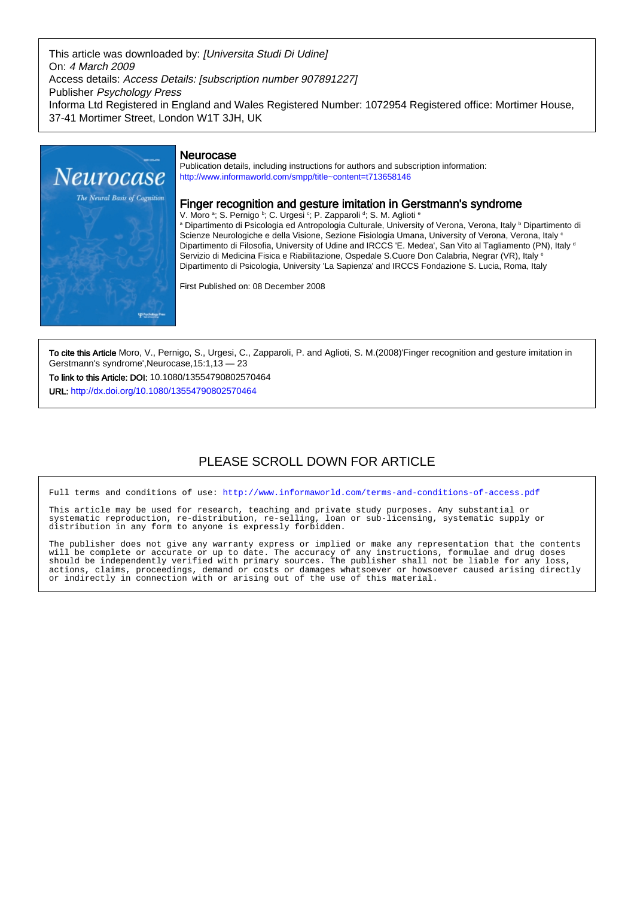This article was downloaded by: [Universita Studi Di Udine] On: 4 March 2009 Access details: Access Details: [subscription number 907891227] Publisher Psychology Press Informa Ltd Registered in England and Wales Registered Number: 1072954 Registered office: Mortimer House, 37-41 Mortimer Street, London W1T 3JH, UK



# Neurocase

Publication details, including instructions for authors and subscription information: <http://www.informaworld.com/smpp/title~content=t713658146>

# Finger recognition and gesture imitation in Gerstmann's syndrome

V. Moro <sup>a</sup>; S. Pernigo <sup>b</sup>; C. Urgesi <sup>c</sup>; P. Zapparoli <sup>d</sup>; S. M. Aglioti <sup>e</sup> a Dipartimento di Psicologia ed Antropologia Culturale, University of Verona, Verona, Italy <sup>ь</sup> Dipartimento di Scienze Neurologiche e della Visione, Sezione Fisiologia Umana, University of Verona, Verona, Italy <sup>c</sup> Dipartimento di Filosofia, University of Udine and IRCCS 'E. Medea', San Vito al Tagliamento (PN), Italy d Servizio di Medicina Fisica e Riabilitazione, Ospedale S.Cuore Don Calabria, Negrar (VR), Italy <sup>e</sup> Dipartimento di Psicologia, University 'La Sapienza' and IRCCS Fondazione S. Lucia, Roma, Italy

First Published on: 08 December 2008

To cite this Article Moro, V., Pernigo, S., Urgesi, C., Zapparoli, P. and Aglioti, S. M.(2008)'Finger recognition and gesture imitation in Gerstmann's syndrome',Neurocase,15:1,13 — 23

To link to this Article: DOI: 10.1080/13554790802570464

URL: <http://dx.doi.org/10.1080/13554790802570464>

# PLEASE SCROLL DOWN FOR ARTICLE

Full terms and conditions of use:<http://www.informaworld.com/terms-and-conditions-of-access.pdf>

This article may be used for research, teaching and private study purposes. Any substantial or systematic reproduction, re-distribution, re-selling, loan or sub-licensing, systematic supply or distribution in any form to anyone is expressly forbidden.

The publisher does not give any warranty express or implied or make any representation that the contents will be complete or accurate or up to date. The accuracy of any instructions, formulae and drug doses should be independently verified with primary sources. The publisher shall not be liable for any loss, actions, claims, proceedings, demand or costs or damages whatsoever or howsoever caused arising directly or indirectly in connection with or arising out of the use of this material.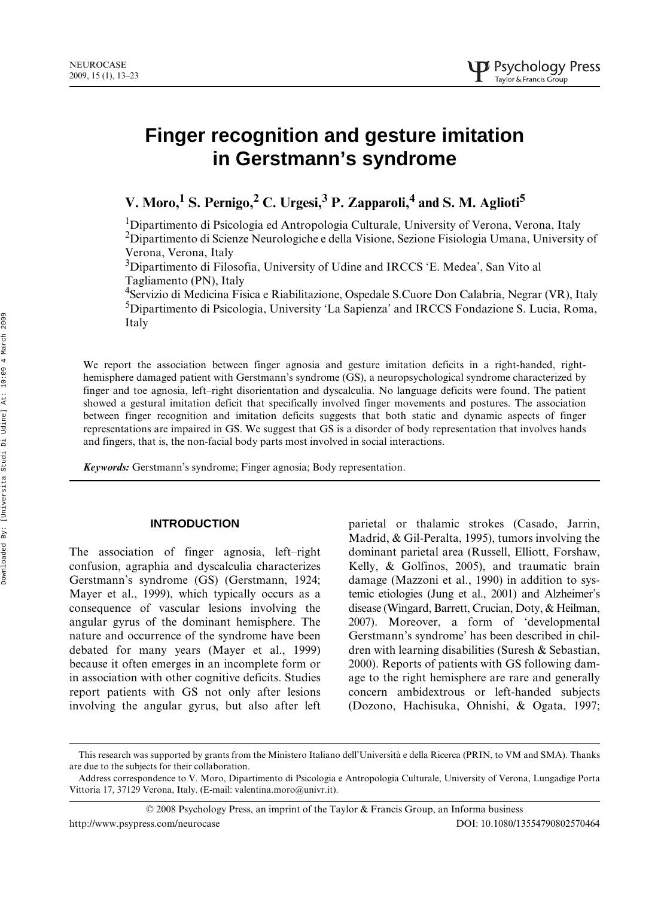# **Finger recognition and gesture imitation in Gerstmann's syndrome**

V. Moro,<sup>1</sup> S. Pernigo,<sup>2</sup> C. Urgesi,<sup>3</sup> P. Zapparoli,<sup>4</sup> and S. M. Aglioti<sup>5</sup>

<sup>1</sup>Dipartimento di Psicologia ed Antropologia Culturale, University of Verona, Verona, Italy <sup>2</sup>Dipartimento di Scienze Neurologiche e della Visione, Sezione Fisiologia Umana, University of Verona, Verona, Italy

<sup>3</sup>Dipartimento di Filosofia, University of Udine and IRCCS 'E. Medea', San Vito al Tagliamento (PN), Italy

<sup>4</sup>Servizio di Medicina Fisica e Riabilitazione, Ospedale S.Cuore Don Calabria, Negrar (VR), Italy 5 Dipartimento di Psicologia, University 'La Sapienza' and IRCCS Fondazione S. Lucia, Roma, Italy

We report the association between finger agnosia and gesture imitation deficits in a right-handed, righthemisphere damaged patient with Gerstmann's syndrome (GS), a neuropsychological syndrome characterized by finger and toe agnosia, left–right disorientation and dyscalculia. No language deficits were found. The patient showed a gestural imitation deficit that specifically involved finger movements and postures. The association between finger recognition and imitation deficits suggests that both static and dynamic aspects of finger representations are impaired in GS. We suggest that GS is a disorder of body representation that involves hands and fingers, that is, the non-facial body parts most involved in social interactions.

*Keywords:* Gerstmann's syndrome; Finger agnosia; Body representation.

# **INTRODUCTION**

The association of finger agnosia, left–right confusion, agraphia and dyscalculia characterizes Gerstmann's syndrome (GS) (Gerstmann, 1924; Mayer et al., 1999), which typically occurs as a consequence of vascular lesions involving the angular gyrus of the dominant hemisphere. The nature and occurrence of the syndrome have been debated for many years (Mayer et al., 1999) because it often emerges in an incomplete form or in association with other cognitive deficits. Studies report patients with GS not only after lesions involving the angular gyrus, but also after left

parietal or thalamic strokes (Casado, Jarrin, Madrid, & Gil-Peralta, 1995), tumors involving the dominant parietal area (Russell, Elliott, Forshaw, Kelly, & Golfinos, 2005), and traumatic brain damage (Mazzoni et al., 1990) in addition to systemic etiologies (Jung et al., 2001) and Alzheimer's disease (Wingard, Barrett, Crucian, Doty, & Heilman, 2007). Moreover, a form of 'developmental Gerstmann's syndrome' has been described in children with learning disabilities (Suresh & Sebastian, 2000). Reports of patients with GS following damage to the right hemisphere are rare and generally concern ambidextrous or left-handed subjects (Dozono, Hachisuka, Ohnishi, & Ogata, 1997;

© 2008 Psychology Press, an imprint of the Taylor & Francis Group, an Informa business

This research was supported by grants from the Ministero Italiano dell'Università e della Ricerca (PRIN, to VM and SMA). Thanks are due to the subjects for their collaboration.

Address correspondence to V. Moro, Dipartimento di Psicologia e Antropologia Culturale, University of Verona, Lungadige Porta Vittoria 17, 37129 Verona, Italy. (E-mail: valentina.moro@univr.it).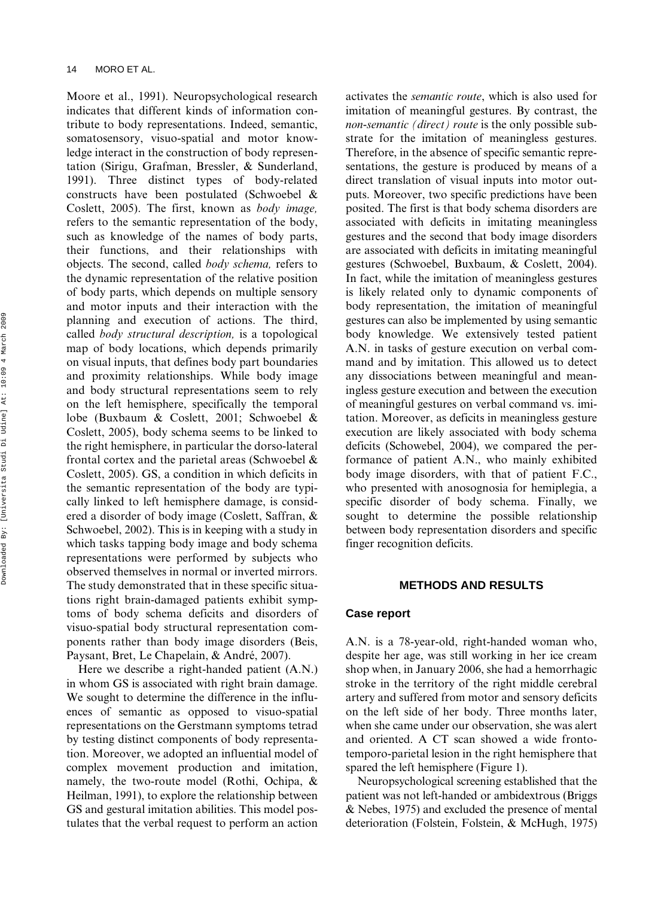Moore et al., 1991). Neuropsychological research indicates that different kinds of information contribute to body representations. Indeed, semantic, somatosensory, visuo-spatial and motor knowledge interact in the construction of body representation (Sirigu, Grafman, Bressler, & Sunderland, 1991). Three distinct types of body-related constructs have been postulated (Schwoebel & Coslett, 2005). The first, known as *body image,* refers to the semantic representation of the body, such as knowledge of the names of body parts, their functions, and their relationships with objects. The second, called *body schema,* refers to the dynamic representation of the relative position of body parts, which depends on multiple sensory and motor inputs and their interaction with the planning and execution of actions. The third, called *body structural description,* is a topological map of body locations, which depends primarily on visual inputs, that defines body part boundaries and proximity relationships. While body image and body structural representations seem to rely on the left hemisphere, specifically the temporal lobe (Buxbaum & Coslett, 2001; Schwoebel & Coslett, 2005), body schema seems to be linked to the right hemisphere, in particular the dorso-lateral frontal cortex and the parietal areas (Schwoebel & Coslett, 2005). GS, a condition in which deficits in the semantic representation of the body are typically linked to left hemisphere damage, is considered a disorder of body image (Coslett, Saffran, & Schwoebel, 2002). This is in keeping with a study in which tasks tapping body image and body schema representations were performed by subjects who observed themselves in normal or inverted mirrors. The study demonstrated that in these specific situations right brain-damaged patients exhibit symptoms of body schema deficits and disorders of visuo-spatial body structural representation components rather than body image disorders (Beis, Paysant, Bret, Le Chapelain, & André, 2007).

Here we describe a right-handed patient (A.N.) in whom GS is associated with right brain damage. We sought to determine the difference in the influences of semantic as opposed to visuo-spatial representations on the Gerstmann symptoms tetrad by testing distinct components of body representation. Moreover, we adopted an influential model of complex movement production and imitation, namely, the two-route model (Rothi, Ochipa, & Heilman, 1991), to explore the relationship between GS and gestural imitation abilities. This model postulates that the verbal request to perform an action activates the *semantic route*, which is also used for imitation of meaningful gestures. By contrast, the *non-semantic (direct) route* is the only possible substrate for the imitation of meaningless gestures. Therefore, in the absence of specific semantic representations, the gesture is produced by means of a direct translation of visual inputs into motor outputs. Moreover, two specific predictions have been posited. The first is that body schema disorders are associated with deficits in imitating meaningless gestures and the second that body image disorders are associated with deficits in imitating meaningful gestures (Schwoebel, Buxbaum, & Coslett, 2004). In fact, while the imitation of meaningless gestures is likely related only to dynamic components of body representation, the imitation of meaningful gestures can also be implemented by using semantic body knowledge. We extensively tested patient A.N. in tasks of gesture execution on verbal command and by imitation. This allowed us to detect any dissociations between meaningful and meaningless gesture execution and between the execution of meaningful gestures on verbal command vs. imitation. Moreover, as deficits in meaningless gesture execution are likely associated with body schema deficits (Schowebel, 2004), we compared the performance of patient A.N., who mainly exhibited body image disorders, with that of patient F.C., who presented with anosognosia for hemiplegia, a specific disorder of body schema. Finally, we sought to determine the possible relationship between body representation disorders and specific finger recognition deficits.

# **METHODS AND RESULTS**

#### **Case report**

A.N. is a 78-year-old, right-handed woman who, despite her age, was still working in her ice cream shop when, in January 2006, she had a hemorrhagic stroke in the territory of the right middle cerebral artery and suffered from motor and sensory deficits on the left side of her body. Three months later, when she came under our observation, she was alert and oriented. A CT scan showed a wide frontotemporo-parietal lesion in the right hemisphere that spared the left hemisphere (Figure 1).

Neuropsychological screening established that the patient was not left-handed or ambidextrous (Briggs & Nebes, 1975) and excluded the presence of mental deterioration (Folstein, Folstein, & McHugh, 1975)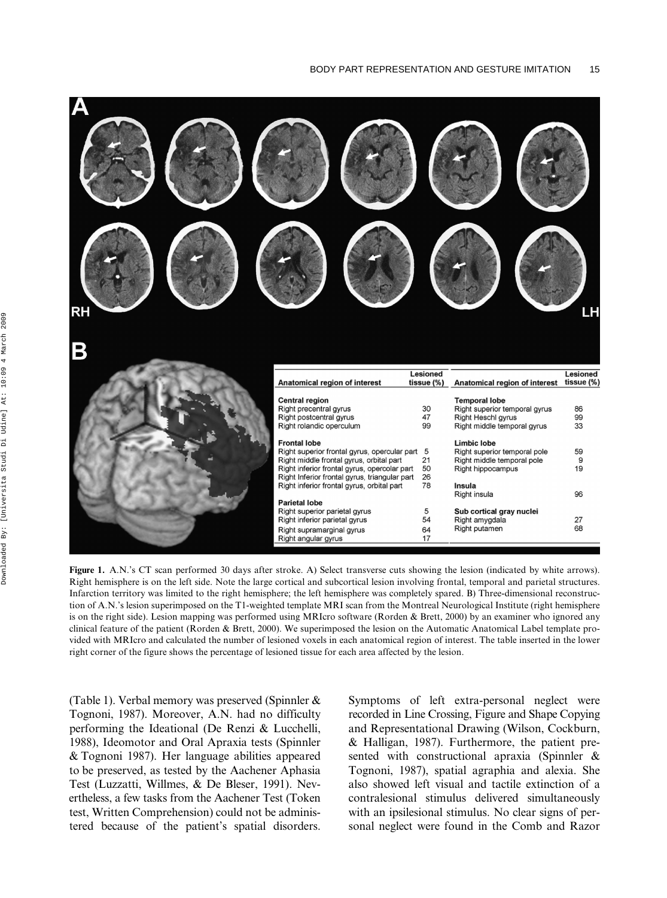

**Figure 1.** A.N.'s CT scan performed 30 days after stroke. A) Select transverse cuts showing the lesion (indicated by white arrows). Right hemisphere is on the left side. Note the large cortical and subcortical lesion involving frontal, temporal and parietal structures. Infarction territory was limited to the right hemisphere; the left hemisphere was completely spared. B) Three-dimensional reconstruction of A.N.'s lesion superimposed on the T1-weighted template MRI scan from the Montreal Neurological Institute (right hemisphere is on the right side). Lesion mapping was performed using MRIcro software (Rorden & Brett, 2000) by an examiner who ignored any clinical feature of the patient (Rorden & Brett, 2000). We superimposed the lesion on the Automatic Anatomical Label template provided with MRIcro and calculated the number of lesioned voxels in each anatomical region of interest. The table inserted in the lower right corner of the figure shows the percentage of lesioned tissue for each area affected by the lesion.

(Table 1). Verbal memory was preserved (Spinnler & Tognoni, 1987). Moreover, A.N. had no difficulty performing the Ideational (De Renzi & Lucchelli, 1988), Ideomotor and Oral Apraxia tests (Spinnler & Tognoni 1987). Her language abilities appeared to be preserved, as tested by the Aachener Aphasia Test (Luzzatti, Willmes, & De Bleser, 1991). Nevertheless, a few tasks from the Aachener Test (Token test, Written Comprehension) could not be administered because of the patient's spatial disorders. Symptoms of left extra-personal neglect were recorded in Line Crossing, Figure and Shape Copying and Representational Drawing (Wilson, Cockburn, & Halligan, 1987). Furthermore, the patient presented with constructional apraxia (Spinnler & Tognoni, 1987), spatial agraphia and alexia. She also showed left visual and tactile extinction of a contralesional stimulus delivered simultaneously with an ipsilesional stimulus. No clear signs of personal neglect were found in the Comb and Razor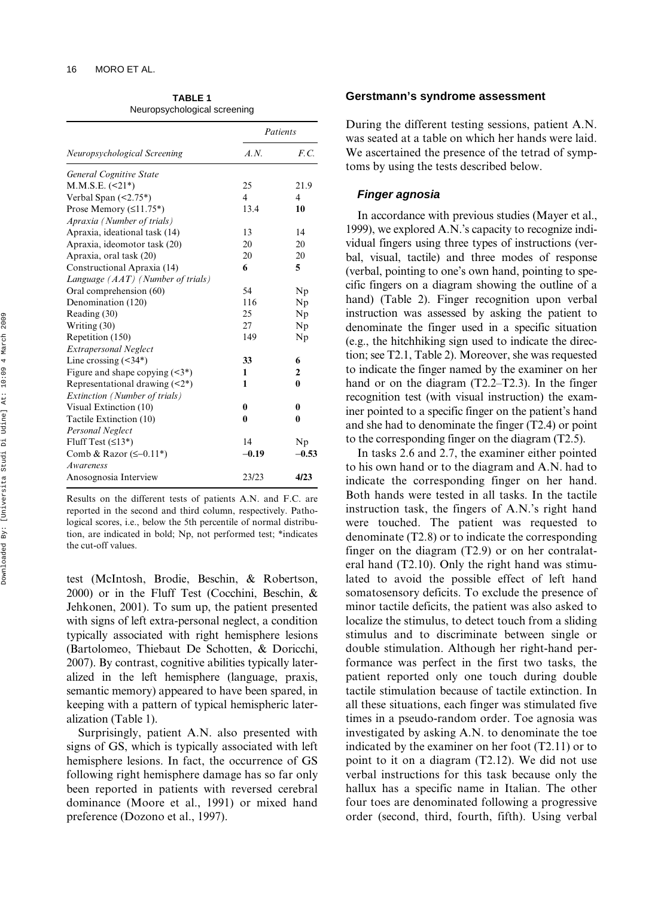**TABLE 1**  Neuropsychological screening

|                                       | Patients       |              |  |
|---------------------------------------|----------------|--------------|--|
| Neuropsychological Screening          | A N            | F.C.         |  |
| <b>General Cognitive State</b>        |                |              |  |
| $M.M.S.E.$ (<21*)                     | 25             | 21.9         |  |
| Verbal Span $(\leq 2.75^*)$           | $\overline{4}$ | 4            |  |
| Prose Memory $(\leq 11.75^*)$         | 13.4           | 10           |  |
| Apraxia (Number of trials)            |                |              |  |
| Apraxia, ideational task (14)         | 13             | 14           |  |
| Apraxia, ideomotor task (20)          | 20             | 20           |  |
| Apraxia, oral task (20)               | 20             | 20           |  |
| Constructional Apraxia (14)           | 6              | 5            |  |
| Language (AAT) (Number of trials)     |                |              |  |
| Oral comprehension (60)               | 54             | Np           |  |
| Denomination (120)                    | 116            | Np           |  |
| Reading (30)                          | 25             | Np           |  |
| Writing (30)                          | 27             | Np           |  |
| Repetition (150)                      | 149            | Np           |  |
| <b>Extrapersonal Neglect</b>          |                |              |  |
| Line crossing $(34^*)$                | 33             | 6            |  |
| Figure and shape copying $(\leq 3^*)$ | 1              | $\mathbf{2}$ |  |
| Representational drawing $(2^*)$      | 1              | $\bf{0}$     |  |
| Extinction (Number of trials)         |                |              |  |
| Visual Extinction (10)                | 0              | 0            |  |
| Tactile Extinction (10)               | 0              | 0            |  |
| <b>Personal Neglect</b>               |                |              |  |
| Fluff Test $(\leq 13^*)$              | 14             | Np           |  |
| Comb & Razor $(\leq -0.11^*)$         | $-0.19$        | $-0.53$      |  |
| Awareness                             |                |              |  |
| Anosognosia Interview                 | 23/23          | 4/23         |  |

Results on the different tests of patients A.N. and F.C. are reported in the second and third column, respectively. Pathological scores, i.e., below the 5th percentile of normal distribution, are indicated in bold; Np, not performed test; \*indicates the cut-off values.

test (McIntosh, Brodie, Beschin, & Robertson, 2000) or in the Fluff Test (Cocchini, Beschin, & Jehkonen, 2001). To sum up, the patient presented with signs of left extra-personal neglect, a condition typically associated with right hemisphere lesions (Bartolomeo, Thiebaut De Schotten, & Doricchi, 2007). By contrast, cognitive abilities typically lateralized in the left hemisphere (language, praxis, semantic memory) appeared to have been spared, in keeping with a pattern of typical hemispheric lateralization (Table 1).

Surprisingly, patient A.N. also presented with signs of GS, which is typically associated with left hemisphere lesions. In fact, the occurrence of GS following right hemisphere damage has so far only been reported in patients with reversed cerebral dominance (Moore et al., 1991) or mixed hand preference (Dozono et al., 1997).

### **Gerstmann's syndrome assessment**

During the different testing sessions, patient A.N. was seated at a table on which her hands were laid. We ascertained the presence of the tetrad of symptoms by using the tests described below.

## *Finger agnosia*

In accordance with previous studies (Mayer et al., 1999), we explored A.N.'s capacity to recognize individual fingers using three types of instructions (verbal, visual, tactile) and three modes of response (verbal, pointing to one's own hand, pointing to specific fingers on a diagram showing the outline of a hand) (Table 2). Finger recognition upon verbal instruction was assessed by asking the patient to denominate the finger used in a specific situation (e.g., the hitchhiking sign used to indicate the direction; see T2.1, Table 2). Moreover, she was requested to indicate the finger named by the examiner on her hand or on the diagram (T2.2–T2.3). In the finger recognition test (with visual instruction) the examiner pointed to a specific finger on the patient's hand and she had to denominate the finger (T2.4) or point to the corresponding finger on the diagram (T2.5).

In tasks 2.6 and 2.7, the examiner either pointed to his own hand or to the diagram and A.N. had to indicate the corresponding finger on her hand. Both hands were tested in all tasks. In the tactile instruction task, the fingers of A.N.'s right hand were touched. The patient was requested to denominate (T2.8) or to indicate the corresponding finger on the diagram (T2.9) or on her contralateral hand (T2.10). Only the right hand was stimulated to avoid the possible effect of left hand somatosensory deficits. To exclude the presence of minor tactile deficits, the patient was also asked to localize the stimulus, to detect touch from a sliding stimulus and to discriminate between single or double stimulation. Although her right-hand performance was perfect in the first two tasks, the patient reported only one touch during double tactile stimulation because of tactile extinction. In all these situations, each finger was stimulated five times in a pseudo-random order. Toe agnosia was investigated by asking A.N. to denominate the toe indicated by the examiner on her foot (T2.11) or to point to it on a diagram (T2.12). We did not use verbal instructions for this task because only the hallux has a specific name in Italian. The other four toes are denominated following a progressive order (second, third, fourth, fifth). Using verbal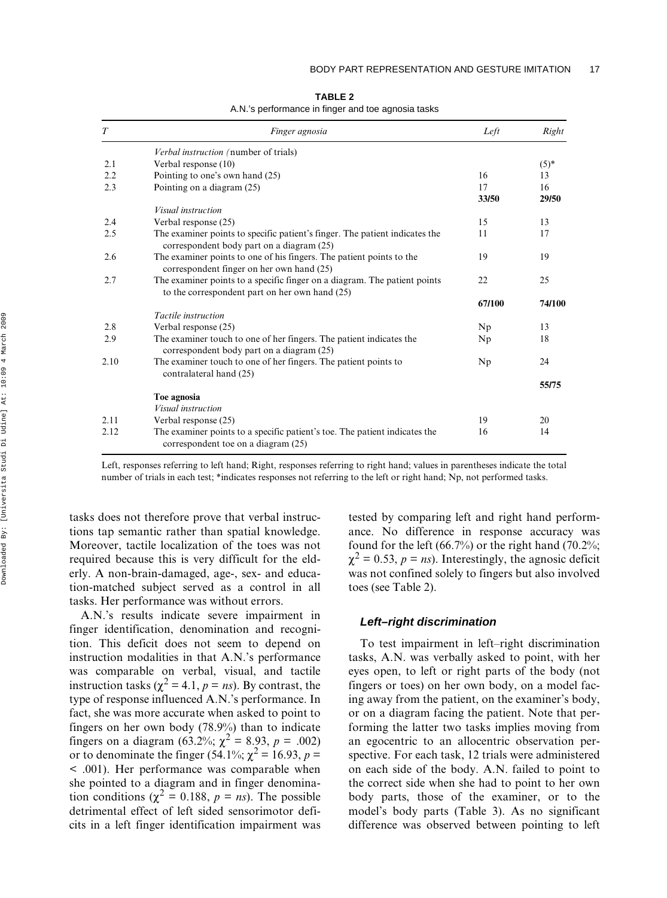| T    | Finger agnosia                                                                                                    | Left   | Right  |
|------|-------------------------------------------------------------------------------------------------------------------|--------|--------|
|      | Verbal instruction (number of trials)                                                                             |        |        |
| 2.1  | Verbal response (10)                                                                                              |        | $(5)*$ |
| 2.2  | Pointing to one's own hand (25)                                                                                   | 16     | 13     |
| 2.3  | Pointing on a diagram (25)                                                                                        | 17     | 16     |
|      |                                                                                                                   | 33/50  | 29/50  |
|      | <i>Visual instruction</i>                                                                                         |        |        |
| 2.4  | Verbal response (25)                                                                                              | 15     | 13     |
| 2.5  | The examiner points to specific patient's finger. The patient indicates the                                       | 11     | 17     |
|      | correspondent body part on a diagram (25)                                                                         |        |        |
| 2.6  | The examiner points to one of his fingers. The patient points to the                                              | 19     | 19     |
|      | correspondent finger on her own hand (25)                                                                         |        |        |
| 2.7  | The examiner points to a specific finger on a diagram. The patient points                                         | 22     | 25     |
|      | to the correspondent part on her own hand (25)                                                                    |        |        |
|      |                                                                                                                   | 67/100 | 74/100 |
|      | Tactile instruction                                                                                               |        |        |
| 2.8  | Verbal response (25)                                                                                              | Np     | 13     |
| 2.9  | The examiner touch to one of her fingers. The patient indicates the                                               | Np     | 18     |
|      | correspondent body part on a diagram (25)                                                                         |        |        |
| 2.10 | The examiner touch to one of her fingers. The patient points to                                                   | Np     | 24     |
|      | contralateral hand (25)                                                                                           |        |        |
|      |                                                                                                                   |        | 55/75  |
|      | Toe agnosia                                                                                                       |        |        |
|      | <i>Visual instruction</i>                                                                                         |        |        |
| 2.11 | Verbal response (25)                                                                                              | 19     | 20     |
| 2.12 | The examiner points to a specific patient's toe. The patient indicates the<br>correspondent toe on a diagram (25) | 16     | 14     |

**TABLE 2**  A.N.'s performance in finger and toe agnosia tasks

Left, responses referring to left hand; Right, responses referring to right hand; values in parentheses indicate the total number of trials in each test; \*indicates responses not referring to the left or right hand; Np, not performed tasks.

tasks does not therefore prove that verbal instructions tap semantic rather than spatial knowledge. Moreover, tactile localization of the toes was not required because this is very difficult for the elderly. A non-brain-damaged, age-, sex- and education-matched subject served as a control in all tasks. Her performance was without errors.

A.N.'s results indicate severe impairment in finger identification, denomination and recognition. This deficit does not seem to depend on instruction modalities in that A.N.'s performance was comparable on verbal, visual, and tactile instruction tasks ( $\chi^2 = 4.1$ ,  $p = ns$ ). By contrast, the type of response influenced A.N.'s performance. In fact, she was more accurate when asked to point to fingers on her own body (78.9%) than to indicate fingers on a diagram (63.2%;  $\chi^2 = 8.93$ ,  $p = .002$ ) or to denominate the finger (54.1%;  $\chi^2 = 16.93$ ,  $p =$ < .001). Her performance was comparable when she pointed to a diagram and in finger denomination conditions ( $\chi^2 = 0.188$ ,  $p = ns$ ). The possible detrimental effect of left sided sensorimotor deficits in a left finger identification impairment was

tested by comparing left and right hand performance. No difference in response accuracy was found for the left (66.7%) or the right hand (70.2%;  $\chi^2 = 0.53$ ,  $p = ns$ ). Interestingly, the agnosic deficit was not confined solely to fingers but also involved toes (see Table 2).

#### *Left–right discrimination*

To test impairment in left–right discrimination tasks, A.N. was verbally asked to point, with her eyes open, to left or right parts of the body (not fingers or toes) on her own body, on a model facing away from the patient, on the examiner's body, or on a diagram facing the patient. Note that performing the latter two tasks implies moving from an egocentric to an allocentric observation perspective. For each task, 12 trials were administered on each side of the body. A.N. failed to point to the correct side when she had to point to her own body parts, those of the examiner, or to the model's body parts (Table 3). As no significant difference was observed between pointing to left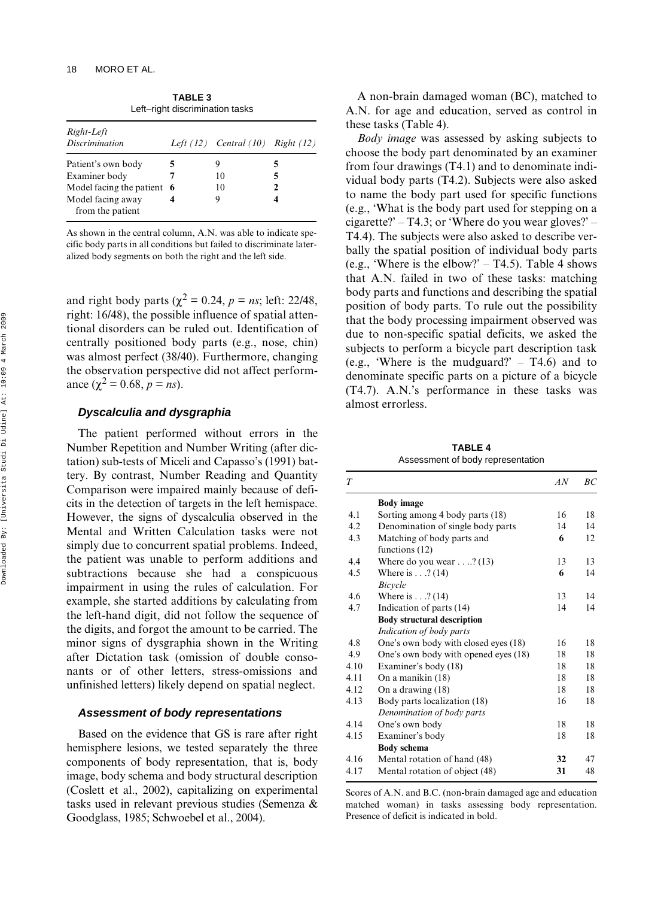| Left-right discrimination tasks       |   |                                         |   |  |  |  |
|---------------------------------------|---|-----------------------------------------|---|--|--|--|
| Right-Left<br><i>Discrimination</i>   |   | Left $(12)$ Central $(10)$ Right $(12)$ |   |  |  |  |
| Patient's own body                    | 5 |                                         | 5 |  |  |  |
| Examiner body                         |   | 10                                      | 5 |  |  |  |
| Model facing the patient 6            |   | 10                                      | 2 |  |  |  |
| Model facing away<br>from the patient |   | 9                                       |   |  |  |  |

**TABLE 3** 

As shown in the central column, A.N. was able to indicate specific body parts in all conditions but failed to discriminate lateralized body segments on both the right and the left side.

and right body parts ( $\chi^2 = 0.24$ ,  $p = ns$ ; left: 22/48, right: 16/48), the possible influence of spatial attentional disorders can be ruled out. Identification of centrally positioned body parts (e.g., nose, chin) was almost perfect (38/40). Furthermore, changing the observation perspective did not affect performance ( $\chi^2 = 0.68$ ,  $p = ns$ ).

#### *Dyscalculia and dysgraphia*

The patient performed without errors in the Number Repetition and Number Writing (after dictation) sub-tests of Miceli and Capasso's (1991) battery. By contrast, Number Reading and Quantity Comparison were impaired mainly because of deficits in the detection of targets in the left hemispace. However, the signs of dyscalculia observed in the Mental and Written Calculation tasks were not simply due to concurrent spatial problems. Indeed, the patient was unable to perform additions and subtractions because she had a conspicuous impairment in using the rules of calculation. For example, she started additions by calculating from the left-hand digit, did not follow the sequence of the digits, and forgot the amount to be carried. The minor signs of dysgraphia shown in the Writing after Dictation task (omission of double consonants or of other letters, stress-omissions and unfinished letters) likely depend on spatial neglect.

#### *Assessment of body representations*

Based on the evidence that GS is rare after right hemisphere lesions, we tested separately the three components of body representation, that is, body image, body schema and body structural description (Coslett et al., 2002), capitalizing on experimental tasks used in relevant previous studies (Semenza & Goodglass, 1985; Schwoebel et al., 2004).

A non-brain damaged woman (BC), matched to A.N. for age and education, served as control in these tasks (Table 4).

*Body image* was assessed by asking subjects to choose the body part denominated by an examiner from four drawings (T4.1) and to denominate individual body parts (T4.2). Subjects were also asked to name the body part used for specific functions (e.g., 'What is the body part used for stepping on a cigarette?' – T4.3; or 'Where do you wear gloves?' – T4.4). The subjects were also asked to describe verbally the spatial position of individual body parts (e.g., 'Where is the elbow?'  $-$  T4.5). Table 4 shows that A.N. failed in two of these tasks: matching body parts and functions and describing the spatial position of body parts. To rule out the possibility that the body processing impairment observed was due to non-specific spatial deficits, we asked the subjects to perform a bicycle part description task (e.g., 'Where is the mudguard?'  $-$  T4.6) and to denominate specific parts on a picture of a bicycle (T4.7). A.N.'s performance in these tasks was almost errorless.

**TABLE 4**  Assessment of body representation

| T    |                                                            | AN | BC |
|------|------------------------------------------------------------|----|----|
|      | <b>Body</b> image                                          |    |    |
| 4.1  | Sorting among 4 body parts (18)                            | 16 | 18 |
| 4.2  | Denomination of single body parts                          | 14 | 14 |
| 4.3  | Matching of body parts and<br>functions $(12)$             | 6  | 12 |
| 4.4  | Where do you wear $\dots$ (13)                             | 13 | 13 |
| 4.5  | Where is $\dots$ (14)<br><b>Bicycle</b>                    | 6  | 14 |
| 4.6  | Where is $\dots$ ? (14)                                    | 13 | 14 |
| 4.7  | Indication of parts (14)                                   | 14 | 14 |
|      | <b>Body structural description</b>                         |    |    |
|      | Indication of body parts                                   |    |    |
| 4.8  | One's own body with closed eyes (18)                       | 16 | 18 |
| 4.9  | One's own body with opened eyes (18)                       | 18 | 18 |
| 4.10 | Examiner's body (18)                                       | 18 | 18 |
| 4.11 | On a manikin (18)                                          | 18 | 18 |
| 4.12 | On a drawing (18)                                          | 18 | 18 |
| 4.13 | Body parts localization (18)<br>Denomination of body parts | 16 | 18 |
| 4.14 | One's own body                                             | 18 | 18 |
| 4.15 | Examiner's body                                            | 18 | 18 |
|      | <b>Body schema</b>                                         |    |    |
| 4.16 | Mental rotation of hand (48)                               | 32 | 47 |
| 4.17 | Mental rotation of object (48)                             | 31 | 48 |

Scores of A.N. and B.C. (non-brain damaged age and education matched woman) in tasks assessing body representation. Presence of deficit is indicated in bold.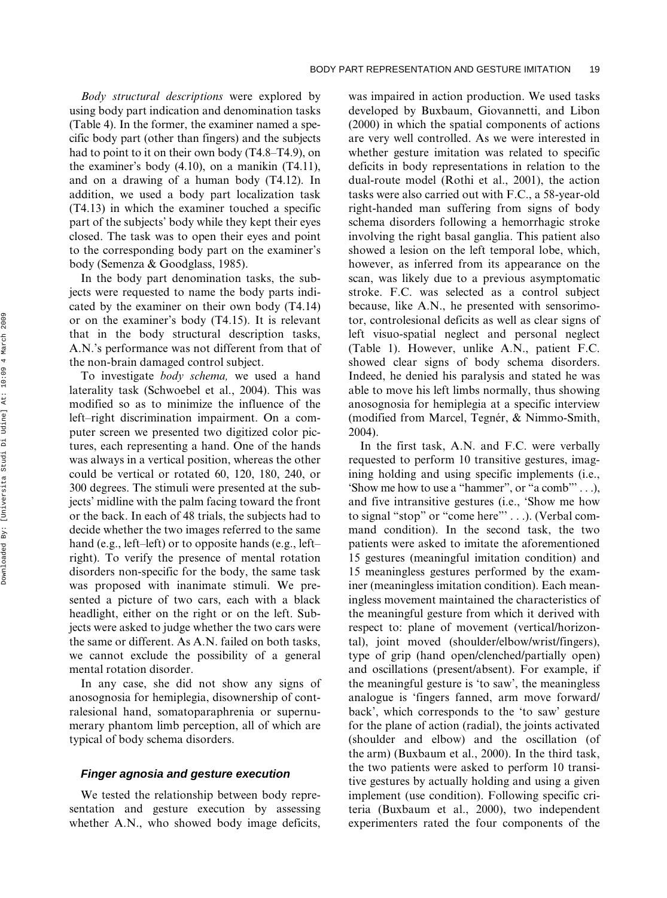*Body structural descriptions* were explored by using body part indication and denomination tasks (Table 4). In the former, the examiner named a specific body part (other than fingers) and the subjects had to point to it on their own body (T4.8–T4.9), on the examiner's body (4.10), on a manikin (T4.11), and on a drawing of a human body (T4.12). In addition, we used a body part localization task (T4.13) in which the examiner touched a specific part of the subjects' body while they kept their eyes closed. The task was to open their eyes and point to the corresponding body part on the examiner's body (Semenza & Goodglass, 1985).

In the body part denomination tasks, the subjects were requested to name the body parts indicated by the examiner on their own body (T4.14) or on the examiner's body (T4.15). It is relevant that in the body structural description tasks, A.N.'s performance was not different from that of the non-brain damaged control subject.

To investigate *body schema,* we used a hand laterality task (Schwoebel et al., 2004). This was modified so as to minimize the influence of the left–right discrimination impairment. On a computer screen we presented two digitized color pictures, each representing a hand. One of the hands was always in a vertical position, whereas the other could be vertical or rotated 60, 120, 180, 240, or 300 degrees. The stimuli were presented at the subjects' midline with the palm facing toward the front or the back. In each of 48 trials, the subjects had to decide whether the two images referred to the same hand (e.g., left–left) or to opposite hands (e.g., left– right). To verify the presence of mental rotation disorders non-specific for the body, the same task was proposed with inanimate stimuli. We presented a picture of two cars, each with a black headlight, either on the right or on the left. Subjects were asked to judge whether the two cars were the same or different. As A.N. failed on both tasks, we cannot exclude the possibility of a general mental rotation disorder.

In any case, she did not show any signs of anosognosia for hemiplegia, disownership of contralesional hand, somatoparaphrenia or supernumerary phantom limb perception, all of which are typical of body schema disorders.

#### *Finger agnosia and gesture execution*

We tested the relationship between body representation and gesture execution by assessing whether A.N., who showed body image deficits,

was impaired in action production. We used tasks developed by Buxbaum, Giovannetti, and Libon (2000) in which the spatial components of actions are very well controlled. As we were interested in whether gesture imitation was related to specific deficits in body representations in relation to the dual-route model (Rothi et al., 2001), the action tasks were also carried out with F.C., a 58-year-old right-handed man suffering from signs of body schema disorders following a hemorrhagic stroke involving the right basal ganglia. This patient also showed a lesion on the left temporal lobe, which, however, as inferred from its appearance on the scan, was likely due to a previous asymptomatic stroke. F.C. was selected as a control subject because, like A.N., he presented with sensorimotor, controlesional deficits as well as clear signs of left visuo-spatial neglect and personal neglect (Table 1). However, unlike A.N., patient F.C. showed clear signs of body schema disorders. Indeed, he denied his paralysis and stated he was able to move his left limbs normally, thus showing anosognosia for hemiplegia at a specific interview (modified from Marcel, Tegnér, & Nimmo-Smith, 2004).

In the first task, A.N. and F.C. were verbally requested to perform 10 transitive gestures, imagining holding and using specific implements (i.e., 'Show me how to use a "hammer", or "a comb"'  $\dots$ ), and five intransitive gestures (i.e., 'Show me how to signal "stop" or "come here"' . . .). (Verbal command condition). In the second task, the two patients were asked to imitate the aforementioned 15 gestures (meaningful imitation condition) and 15 meaningless gestures performed by the examiner (meaningless imitation condition). Each meaningless movement maintained the characteristics of the meaningful gesture from which it derived with respect to: plane of movement (vertical/horizontal), joint moved (shoulder/elbow/wrist/fingers), type of grip (hand open/clenched/partially open) and oscillations (present/absent). For example, if the meaningful gesture is 'to saw', the meaningless analogue is 'fingers fanned, arm move forward/ back', which corresponds to the 'to saw' gesture for the plane of action (radial), the joints activated (shoulder and elbow) and the oscillation (of the arm) (Buxbaum et al., 2000). In the third task, the two patients were asked to perform 10 transitive gestures by actually holding and using a given implement (use condition). Following specific criteria (Buxbaum et al., 2000), two independent experimenters rated the four components of the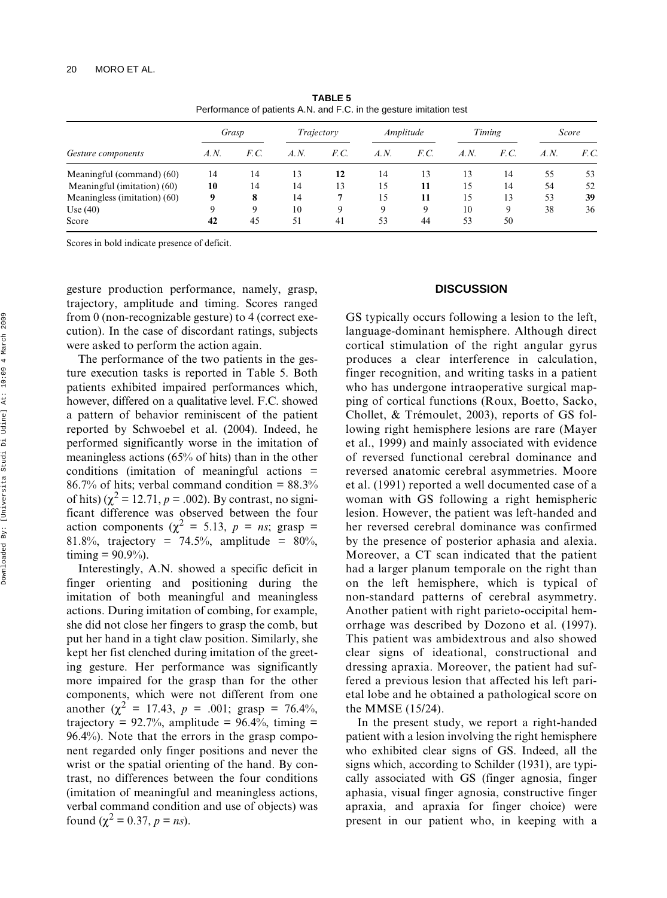| Gesture components           | Grasp |      | Trajectory |      | Amplitude |      | Timing |      | Score |      |
|------------------------------|-------|------|------------|------|-----------|------|--------|------|-------|------|
|                              | A.N.  | F.C. | A.N.       | F.C. | A.N.      | F.C. | A.N.   | F.C. | A.N.  | F.C. |
| Meaningful (command) (60)    | 14    | 14   | 13         | 12   | 14        | 13   | 13     | 14   | 55    | 53   |
| Meaningful (imitation) (60)  | 10    | 14   | 14         | 13   | 15        | 11   | 15     | 14   | 54    | 52   |
| Meaningless (imitation) (60) | 9     | 8    | 14         | 7    | 15        | 11   | 15     | 13   | 53    | 39   |
| Use $(40)$                   | 9     | 9    | 10         | 9    | 9         | 9    | 10     | 9    | 38    | 36   |
| Score                        | 42    | 45   | 51         | 41   | 53        | 44   | 53     | 50   |       |      |

**TABLE 5**  Performance of patients A.N. and F.C. in the gesture imitation test

Scores in bold indicate presence of deficit.

gesture production performance, namely, grasp, trajectory, amplitude and timing. Scores ranged from 0 (non-recognizable gesture) to 4 (correct execution). In the case of discordant ratings, subjects were asked to perform the action again.

The performance of the two patients in the gesture execution tasks is reported in Table 5. Both patients exhibited impaired performances which, however, differed on a qualitative level. F.C. showed a pattern of behavior reminiscent of the patient reported by Schwoebel et al. (2004). Indeed, he performed significantly worse in the imitation of meaningless actions (65% of hits) than in the other conditions (imitation of meaningful actions = 86.7% of hits; verbal command condition  $= 88.3\%$ of hits)  $(\chi^2 = 12.71, p = .002)$ . By contrast, no significant difference was observed between the four action components ( $\chi^2 = 5.13$ ,  $p = ns$ ; grasp = 81.8%, trajectory = 74.5%, amplitude =  $80\%$ ,  $t$ iming = 90.9%).

Interestingly, A.N. showed a specific deficit in finger orienting and positioning during the imitation of both meaningful and meaningless actions. During imitation of combing, for example, she did not close her fingers to grasp the comb, but put her hand in a tight claw position. Similarly, she kept her fist clenched during imitation of the greeting gesture. Her performance was significantly more impaired for the grasp than for the other components, which were not different from one another ( $\chi^2$  = 17.43,  $p$  = .001; grasp = 76.4%, trajectory =  $92.7\%$ , amplitude =  $96.4\%$ , timing = 96.4%). Note that the errors in the grasp component regarded only finger positions and never the wrist or the spatial orienting of the hand. By contrast, no differences between the four conditions (imitation of meaningful and meaningless actions, verbal command condition and use of objects) was found ( $\chi^2 = 0.37, p = ns$ ).

#### **DISCUSSION**

GS typically occurs following a lesion to the left, language-dominant hemisphere. Although direct cortical stimulation of the right angular gyrus produces a clear interference in calculation, finger recognition, and writing tasks in a patient who has undergone intraoperative surgical mapping of cortical functions (Roux, Boetto, Sacko, Chollet, & Trémoulet, 2003), reports of GS following right hemisphere lesions are rare (Mayer et al., 1999) and mainly associated with evidence of reversed functional cerebral dominance and reversed anatomic cerebral asymmetries. Moore et al. (1991) reported a well documented case of a woman with GS following a right hemispheric lesion. However, the patient was left-handed and her reversed cerebral dominance was confirmed by the presence of posterior aphasia and alexia. Moreover, a CT scan indicated that the patient had a larger planum temporale on the right than on the left hemisphere, which is typical of non-standard patterns of cerebral asymmetry. Another patient with right parieto-occipital hemorrhage was described by Dozono et al. (1997). This patient was ambidextrous and also showed clear signs of ideational, constructional and dressing apraxia. Moreover, the patient had suffered a previous lesion that affected his left parietal lobe and he obtained a pathological score on the MMSE (15/24).

In the present study, we report a right-handed patient with a lesion involving the right hemisphere who exhibited clear signs of GS. Indeed, all the signs which, according to Schilder (1931), are typically associated with GS (finger agnosia, finger aphasia, visual finger agnosia, constructive finger apraxia, and apraxia for finger choice) were present in our patient who, in keeping with a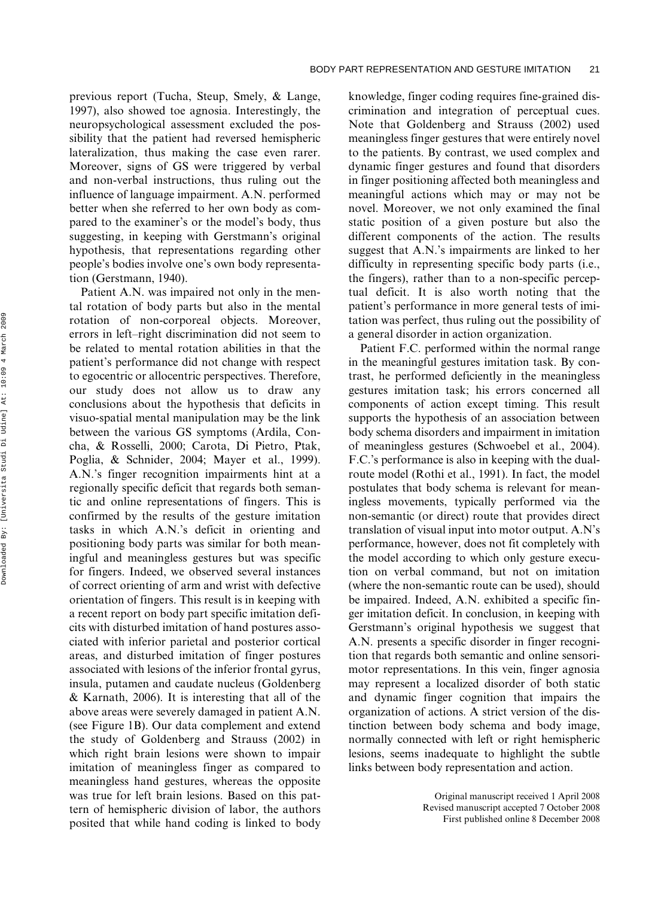previous report (Tucha, Steup, Smely, & Lange, 1997), also showed toe agnosia. Interestingly, the neuropsychological assessment excluded the possibility that the patient had reversed hemispheric lateralization, thus making the case even rarer. Moreover, signs of GS were triggered by verbal and non-verbal instructions, thus ruling out the influence of language impairment. A.N. performed better when she referred to her own body as compared to the examiner's or the model's body, thus suggesting, in keeping with Gerstmann's original hypothesis, that representations regarding other people's bodies involve one's own body representation (Gerstmann, 1940).

Patient A.N. was impaired not only in the mental rotation of body parts but also in the mental rotation of non-corporeal objects. Moreover, errors in left–right discrimination did not seem to be related to mental rotation abilities in that the patient's performance did not change with respect to egocentric or allocentric perspectives. Therefore, our study does not allow us to draw any conclusions about the hypothesis that deficits in visuo-spatial mental manipulation may be the link between the various GS symptoms (Ardila, Concha, & Rosselli, 2000; Carota, Di Pietro, Ptak, Poglia, & Schnider, 2004; Mayer et al., 1999). A.N.'s finger recognition impairments hint at a regionally specific deficit that regards both semantic and online representations of fingers. This is confirmed by the results of the gesture imitation tasks in which A.N.'s deficit in orienting and positioning body parts was similar for both meaningful and meaningless gestures but was specific for fingers. Indeed, we observed several instances of correct orienting of arm and wrist with defective orientation of fingers. This result is in keeping with a recent report on body part specific imitation deficits with disturbed imitation of hand postures associated with inferior parietal and posterior cortical areas, and disturbed imitation of finger postures associated with lesions of the inferior frontal gyrus, insula, putamen and caudate nucleus (Goldenberg & Karnath, 2006). It is interesting that all of the above areas were severely damaged in patient A.N. (see Figure 1B). Our data complement and extend the study of Goldenberg and Strauss (2002) in which right brain lesions were shown to impair imitation of meaningless finger as compared to meaningless hand gestures, whereas the opposite was true for left brain lesions. Based on this pattern of hemispheric division of labor, the authors posited that while hand coding is linked to body

knowledge, finger coding requires fine-grained discrimination and integration of perceptual cues. Note that Goldenberg and Strauss (2002) used meaningless finger gestures that were entirely novel to the patients. By contrast, we used complex and dynamic finger gestures and found that disorders in finger positioning affected both meaningless and meaningful actions which may or may not be novel. Moreover, we not only examined the final static position of a given posture but also the different components of the action. The results suggest that A.N.'s impairments are linked to her difficulty in representing specific body parts (i.e., the fingers), rather than to a non-specific perceptual deficit. It is also worth noting that the patient's performance in more general tests of imitation was perfect, thus ruling out the possibility of a general disorder in action organization.

Patient F.C. performed within the normal range in the meaningful gestures imitation task. By contrast, he performed deficiently in the meaningless gestures imitation task; his errors concerned all components of action except timing. This result supports the hypothesis of an association between body schema disorders and impairment in imitation of meaningless gestures (Schwoebel et al., 2004). F.C.'s performance is also in keeping with the dualroute model (Rothi et al., 1991). In fact, the model postulates that body schema is relevant for meaningless movements, typically performed via the non-semantic (or direct) route that provides direct translation of visual input into motor output. A.N's performance, however, does not fit completely with the model according to which only gesture execution on verbal command, but not on imitation (where the non-semantic route can be used), should be impaired. Indeed, A.N. exhibited a specific finger imitation deficit. In conclusion, in keeping with Gerstmann's original hypothesis we suggest that A.N. presents a specific disorder in finger recognition that regards both semantic and online sensorimotor representations. In this vein, finger agnosia may represent a localized disorder of both static and dynamic finger cognition that impairs the organization of actions. A strict version of the distinction between body schema and body image, normally connected with left or right hemispheric lesions, seems inadequate to highlight the subtle links between body representation and action.

> Original manuscript received 1 April 2008 Revised manuscript accepted 7 October 2008 First published online 8 December 2008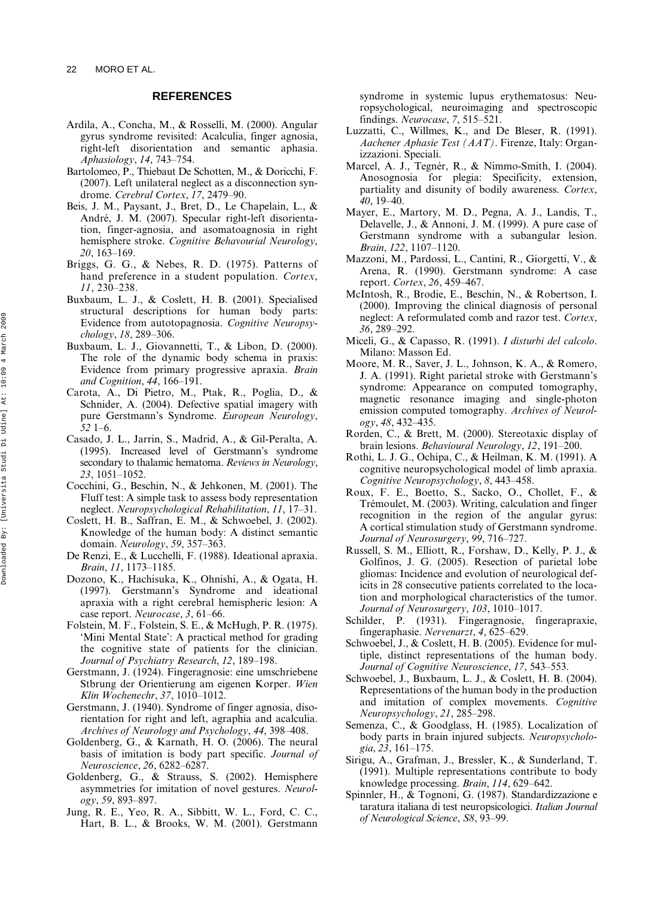#### **REFERENCES**

- Ardila, A., Concha, M., & Rosselli, M. (2000). Angular gyrus syndrome revisited: Acalculia, finger agnosia, right-left disorientation and semantic aphasia. *Aphasiology*, *14*, 743–754.
- Bartolomeo, P., Thiebaut De Schotten, M., & Doricchi, F. (2007). Left unilateral neglect as a disconnection syndrome. *Cerebral Cortex*, *17*, 2479–90.
- Beis, J. M., Paysant, J., Bret, D., Le Chapelain, L., & André, J. M. (2007). Specular right-left disorientation, finger-agnosia, and asomatoagnosia in right hemisphere stroke. *Cognitive Behavourial Neurology*, *20*, 163–169.
- Briggs, G. G., & Nebes, R. D. (1975). Patterns of hand preference in a student population. *Cortex*, *11*, 230–238.
- Buxbaum, L. J., & Coslett, H. B. (2001). Specialised structural descriptions for human body parts: Evidence from autotopagnosia. *Cognitive Neuropsychology*, *18*, 289–306.
- Buxbaum, L. J., Giovannetti, T., & Libon, D. (2000). The role of the dynamic body schema in praxis: Evidence from primary progressive apraxia. *Brain and Cognition*, *44*, 166–191.
- Carota, A., Di Pietro, M., Ptak, R., Poglia, D., & Schnider, A. (2004). Defective spatial imagery with pure Gerstmann's Syndrome. *European Neurology*, *52* 1–6.
- Casado, J. L., Jarrin, S., Madrid, A., & Gil-Peralta, A. (1995). Increased level of Gerstmann's syndrome secondary to thalamic hematoma. *Reviews in Neurology*, *23*, 1051–1052.
- Cocchini, G., Beschin, N., & Jehkonen, M. (2001). The Fluff test: A simple task to assess body representation neglect. *Neuropsychological Rehabilitation*, *11*, 17–31.
- Coslett, H. B., Saffran, E. M., & Schwoebel, J. (2002). Knowledge of the human body: A distinct semantic domain. *Neurology*, *59*, 357–363.
- De Renzi, E., & Lucchelli, F. (1988). Ideational apraxia. *Brain*, *11*, 1173–1185.
- Dozono, K., Hachisuka, K., Ohnishi, A., & Ogata, H. (1997). Gerstmann's Syndrome and ideational apraxia with a right cerebral hemispheric lesion: A case report. *Neurocase*, *3*, 61–66.
- Folstein, M. F., Folstein, S. E., & McHugh, P. R. (1975). 'Mini Mental State': A practical method for grading the cognitive state of patients for the clinician. *Journal of Psychiatry Research*, *12*, 189–198.
- Gerstmann, J. (1924). Fingeragnosie: eine umschriebene Stbrung der Orientierung am eigenen Korper. *Wien Klin Wochenechr*, *37*, 1010–1012.
- Gerstmann, J. (1940). Syndrome of finger agnosia, disorientation for right and left, agraphia and acalculia. *Archives of Neurology and Psychology*, *44*, 398–408.
- Goldenberg, G., & Karnath, H. O. (2006). The neural basis of imitation is body part specific. *Journal of Neuroscience*, *26*, 6282–6287.
- Goldenberg, G., & Strauss, S. (2002). Hemisphere asymmetries for imitation of novel gestures. *Neurology*, *59*, 893–897.
- Jung, R. E., Yeo, R. A., Sibbitt, W. L., Ford, C. C., Hart, B. L., & Brooks, W. M. (2001). Gerstmann

syndrome in systemic lupus erythematosus: Neuropsychological, neuroimaging and spectroscopic findings. *Neurocase*, *7*, 515–521.

- Luzzatti, C., Willmes, K., and De Bleser, R. (1991). *Aachener Aphasie Test (AAT)*. Firenze, Italy: Organizzazioni. Speciali.
- Marcel, A. J., Tegnér, R., & Nimmo-Smith, I. (2004). Anosognosia for plegia: Specificity, extension, partiality and disunity of bodily awareness. *Cortex*, *40*, 19–40.
- Mayer, E., Martory, M. D., Pegna, A. J., Landis, T., Delavelle, J., & Annoni, J. M. (1999). A pure case of Gerstmann syndrome with a subangular lesion. *Brain*, *122*, 1107–1120.
- Mazzoni, M., Pardossi, L., Cantini, R., Giorgetti, V., & Arena, R. (1990). Gerstmann syndrome: A case report. *Cortex*, *26*, 459–467.
- McIntosh, R., Brodie, E., Beschin, N., & Robertson, I. (2000). Improving the clinical diagnosis of personal neglect: A reformulated comb and razor test. *Cortex*, *36*, 289–292.
- Miceli, G., & Capasso, R. (1991). *I disturbi del calcolo*. Milano: Masson Ed.
- Moore, M. R., Saver, J. L., Johnson, K. A., & Romero, J. A. (1991). Right parietal stroke with Gerstmann's syndrome: Appearance on computed tomography, magnetic resonance imaging and single-photon emission computed tomography. *Archives of Neurology*, *48*, 432–435.
- Rorden, C., & Brett, M. (2000). Stereotaxic display of brain lesions. *Behavioural Neurology*, *12*, 191–200.
- Rothi, L. J. G., Ochipa, C., & Heilman, K. M. (1991). A cognitive neuropsychological model of limb apraxia. *Cognitive Neuropsychology*, *8*, 443–458.
- Roux, F. E., Boetto, S., Sacko, O., Chollet, F., & Trémoulet, M. (2003). Writing, calculation and finger recognition in the region of the angular gyrus: A cortical stimulation study of Gerstmann syndrome. *Journal of Neurosurgery*, *99*, 716–727.
- Russell, S. M., Elliott, R., Forshaw, D., Kelly, P. J., & Golfinos, J. G. (2005). Resection of parietal lobe gliomas: Incidence and evolution of neurological deficits in 28 consecutive patients correlated to the location and morphological characteristics of the tumor. *Journal of Neurosurgery*, *103*, 1010–1017.
- Schilder, P. (1931). Fingeragnosie, fingerapraxie, fingeraphasie. *Nervenarzt*, *4*, 625–629.
- Schwoebel, J., & Coslett, H. B. (2005). Evidence for multiple, distinct representations of the human body. *Journal of Cognitive Neuroscience*, *17*, 543–553.
- Schwoebel, J., Buxbaum, L. J., & Coslett, H. B. (2004). Representations of the human body in the production and imitation of complex movements. *Cognitive Neuropsychology*, *21*, 285–298.
- Semenza, C., & Goodglass, H. (1985). Localization of body parts in brain injured subjects. *Neuropsychologia*, *23*, 161–175.
- Sirigu, A., Grafman, J., Bressler, K., & Sunderland, T. (1991). Multiple representations contribute to body knowledge processing. *Brain*, *114*, 629–642.
- Spinnler, H., & Tognoni, G. (1987). Standardizzazione e taratura italiana di test neuropsicologici. *Italian Journal of Neurological Science*, *S8*, 93–99.